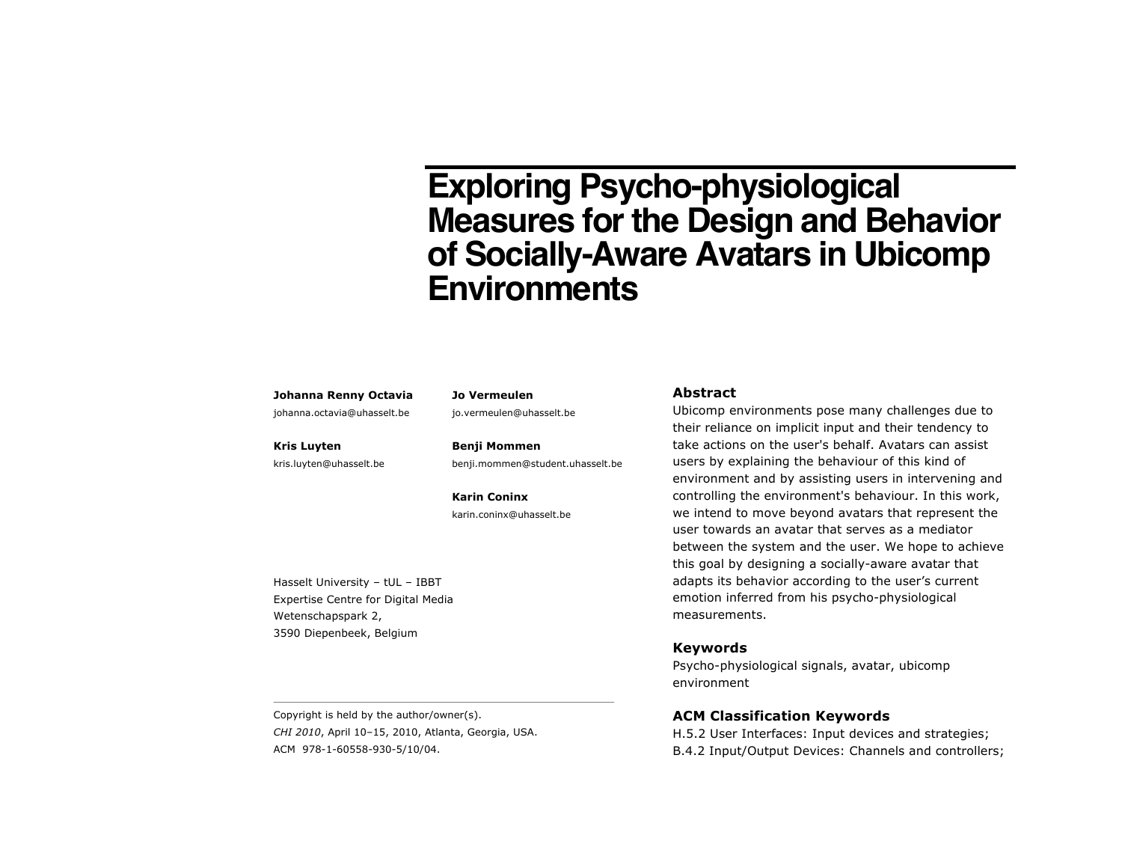# **Exploring Psycho-physiological Measures for the Design and Behavior of Socially-Aware Avatars in Ubicomp Environments**

#### **Johanna Renny Octavia**

johanna.octavia@uhasselt.be

**Kris Luyten**

kris.luyten@uhasselt.be

**Jo Vermeulen** jo.vermeulen@uhasselt.be

**Benji Mommen** benji.mommen@student.uhasselt.be

**Karin Coninx** karin.coninx@uhasselt.be

Hasselt University – tUL – IBBT Expertise Centre for Digital Media Wetenschapspark 2, 3590 Diepenbeek, Belgium

## **Abstract**

Ubicomp environments pose many challenges due to their reliance on implicit input and their tendency to take actions on the user's behalf. Avatars can assist users by explaining the behaviour of this kind of environment and by assisting users in intervening and controlling the environment's behaviour. In this work, we intend to move beyond avatars that represent the user towards an avatar that serves as a mediator between the system and the user. We hope to achieve this goal by designing a socially-aware avatar that adapts its behavior according to the user's current emotion inferred from his psycho-physiological measurements.

#### **Keywords**

Psycho-physiological signals, avatar, ubicomp environment

## **ACM Classification Keywords**

H.5.2 User Interfaces: Input devices and strategies; B.4.2 Input/Output Devices: Channels and controllers;

Copyright is held by the author/owner(s). *CHI 2010*, April 10–15, 2010, Atlanta, Georgia, USA. ACM 978-1-60558-930-5/10/04.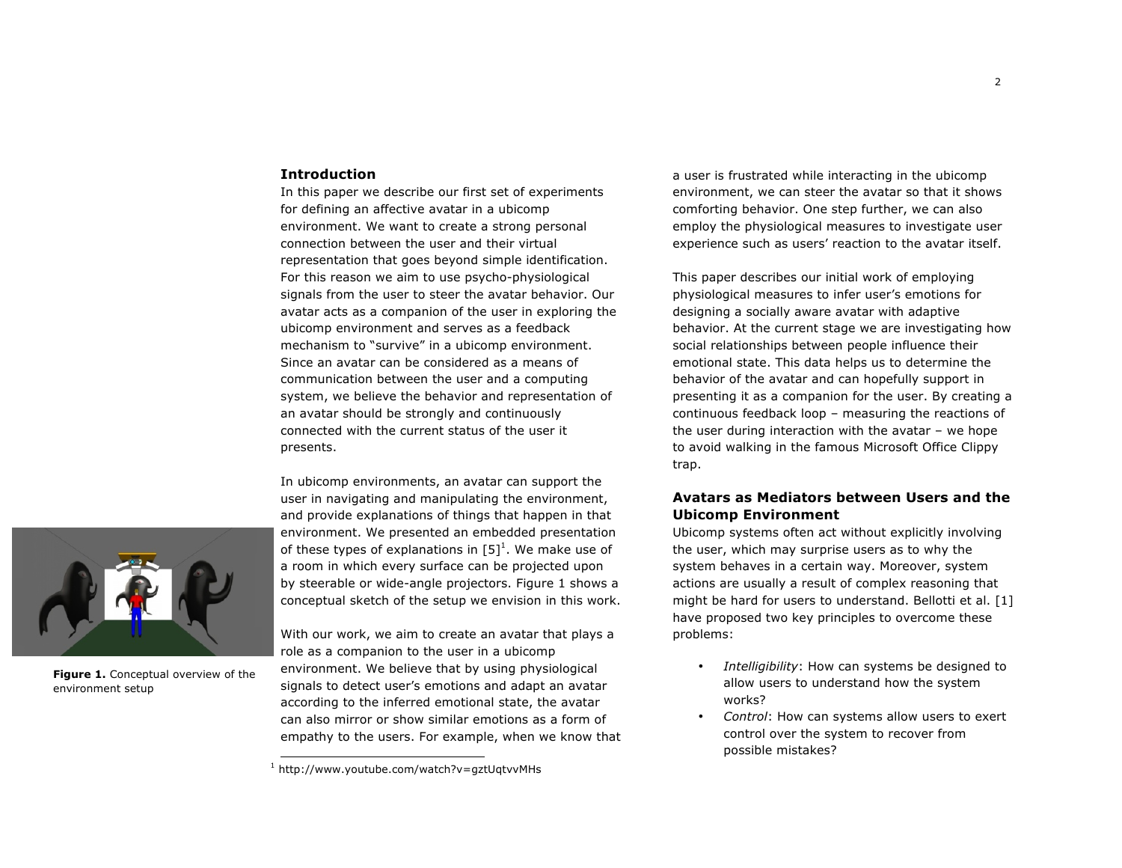## **Introduction**

In this paper we describe our first set of experiments for defining an affective avatar in a ubicomp environment. We want to create a strong personal connection between the user and their virtual representation that goes beyond simple identification. For this reason we aim to use psycho-physiological signals from the user to steer the avatar behavior. Our avatar acts as a companion of the user in exploring the ubicomp environment and serves as a feedback mechanism to "survive" in a ubicomp environment. Since an avatar can be considered as a means of communication between the user and a computing system, we believe the behavior and representation of an avatar should be strongly and continuously connected with the current status of the user it presents.

In ubicomp environments, an avatar can support the user in navigating and manipulating the environment, and provide explanations of things that happen in that environment. We presented an embedded presentation of these types of explanations in  $[5]^1$ . We make use of a room in which every surface can be projected upon by steerable or wide-angle projectors. Figure 1 shows a conceptual sketch of the setup we envision in this work.

**Figure 1.** Conceptual overview of the environment setup

With our work, we aim to create an avatar that plays a role as a companion to the user in a ubicomp environment. We believe that by using physiological signals to detect user's emotions and adapt an avatar according to the inferred emotional state, the avatar can also mirror or show similar emotions as a form of empathy to the users. For example, when we know that a user is frustrated while interacting in the ubicomp environment, we can steer the avatar so that it shows comforting behavior. One step further, we can also employ the physiological measures to investigate user experience such as users' reaction to the avatar itself.

This paper describes our initial work of employing physiological measures to infer user's emotions for designing a socially aware avatar with adaptive behavior. At the current stage we are investigating how social relationships between people influence their emotional state. This data helps us to determine the behavior of the avatar and can hopefully support in presenting it as a companion for the user. By creating a continuous feedback loop – measuring the reactions of the user during interaction with the avatar – we hope to avoid walking in the famous Microsoft Office Clippy trap.

## **Avatars as Mediators between Users and the Ubicomp Environment**

Ubicomp systems often act without explicitly involving the user, which may surprise users as to why the system behaves in a certain way. Moreover, system actions are usually a result of complex reasoning that might be hard for users to understand. Bellotti et al. [1] have proposed two key principles to overcome these problems:

- *Intelligibility*: How can systems be designed to allow users to understand how the system works?
- *Control*: How can systems allow users to exert control over the system to recover from possible mistakes?

 $1$  http://www.youtube.com/watch?v=gztUqtvvMHs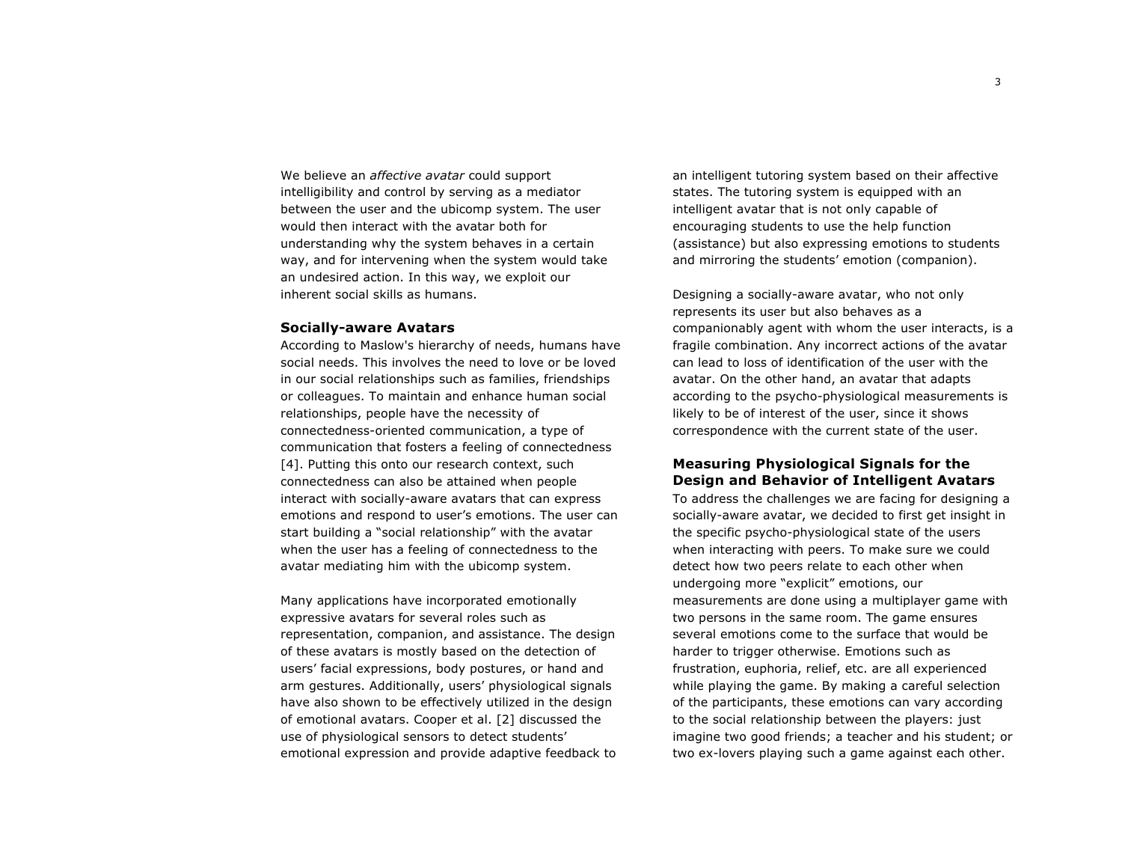We believe an *affective avatar* could support intelligibility and control by serving as a mediator between the user and the ubicomp system. The user would then interact with the avatar both for understanding why the system behaves in a certain way, and for intervening when the system would take an undesired action. In this way, we exploit our inherent social skills as humans.

#### **Socially-aware Avatars**

According to Maslow's hierarchy of needs, humans have social needs. This involves the need to love or be loved in our social relationships such as families, friendships or colleagues. To maintain and enhance human social relationships, people have the necessity of connectedness-oriented communication, a type of communication that fosters a feeling of connectedness [4]. Putting this onto our research context, such connectedness can also be attained when people interact with socially-aware avatars that can express emotions and respond to user's emotions. The user can start building a "social relationship" with the avatar when the user has a feeling of connectedness to the avatar mediating him with the ubicomp system.

Many applications have incorporated emotionally expressive avatars for several roles such as representation, companion, and assistance. The design of these avatars is mostly based on the detection of users' facial expressions, body postures, or hand and arm gestures. Additionally, users' physiological signals have also shown to be effectively utilized in the design of emotional avatars. Cooper et al. [2] discussed the use of physiological sensors to detect students' emotional expression and provide adaptive feedback to an intelligent tutoring system based on their affective states. The tutoring system is equipped with an intelligent avatar that is not only capable of encouraging students to use the help function (assistance) but also expressing emotions to students and mirroring the students' emotion (companion).

Designing a socially-aware avatar, who not only represents its user but also behaves as a companionably agent with whom the user interacts, is a fragile combination. Any incorrect actions of the avatar can lead to loss of identification of the user with the avatar. On the other hand, an avatar that adapts according to the psycho-physiological measurements is likely to be of interest of the user, since it shows correspondence with the current state of the user.

## **Measuring Physiological Signals for the Design and Behavior of Intelligent Avatars**

To address the challenges we are facing for designing a socially-aware avatar, we decided to first get insight in the specific psycho-physiological state of the users when interacting with peers. To make sure we could detect how two peers relate to each other when undergoing more "explicit" emotions, our measurements are done using a multiplayer game with two persons in the same room. The game ensures several emotions come to the surface that would be harder to trigger otherwise. Emotions such as frustration, euphoria, relief, etc. are all experienced while playing the game. By making a careful selection of the participants, these emotions can vary according to the social relationship between the players: just imagine two good friends; a teacher and his student; or two ex-lovers playing such a game against each other.